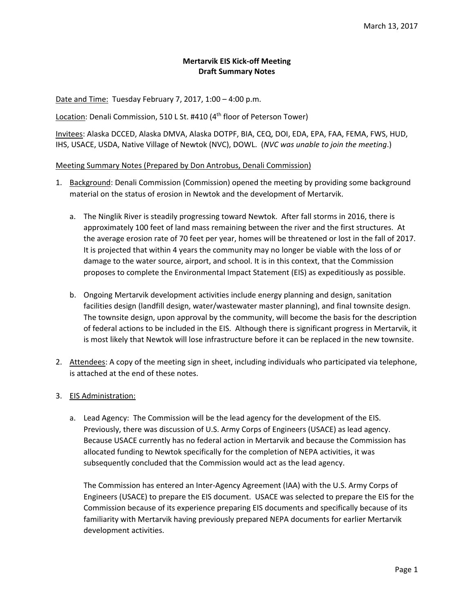### **Mertarvik EIS Kick‐off Meeting Draft Summary Notes**

Date and Time: Tuesday February 7, 2017, 1:00 – 4:00 p.m.

Location: Denali Commission, 510 L St. #410 (4<sup>th</sup> floor of Peterson Tower)

Invitees: Alaska DCCED, Alaska DMVA, Alaska DOTPF, BIA, CEQ, DOI, EDA, EPA, FAA, FEMA, FWS, HUD, IHS, USACE, USDA, Native Village of Newtok (NVC), DOWL. (*NVC was unable to join the meeting*.)

#### Meeting Summary Notes (Prepared by Don Antrobus, Denali Commission)

- 1. Background: Denali Commission (Commission) opened the meeting by providing some background material on the status of erosion in Newtok and the development of Mertarvik.
	- a. The Ninglik River is steadily progressing toward Newtok. After fall storms in 2016, there is approximately 100 feet of land mass remaining between the river and the first structures. At the average erosion rate of 70 feet per year, homes will be threatened or lost in the fall of 2017. It is projected that within 4 years the community may no longer be viable with the loss of or damage to the water source, airport, and school. It is in this context, that the Commission proposes to complete the Environmental Impact Statement (EIS) as expeditiously as possible.
	- b. Ongoing Mertarvik development activities include energy planning and design, sanitation facilities design (landfill design, water/wastewater master planning), and final townsite design. The townsite design, upon approval by the community, will become the basis for the description of federal actions to be included in the EIS. Although there is significant progress in Mertarvik, it is most likely that Newtok will lose infrastructure before it can be replaced in the new townsite.
- 2. Attendees: A copy of the meeting sign in sheet, including individuals who participated via telephone, is attached at the end of these notes.
- 3. EIS Administration:
	- a. Lead Agency: The Commission will be the lead agency for the development of the EIS. Previously, there was discussion of U.S. Army Corps of Engineers (USACE) as lead agency. Because USACE currently has no federal action in Mertarvik and because the Commission has allocated funding to Newtok specifically for the completion of NEPA activities, it was subsequently concluded that the Commission would act as the lead agency.

The Commission has entered an Inter‐Agency Agreement (IAA) with the U.S. Army Corps of Engineers (USACE) to prepare the EIS document. USACE was selected to prepare the EIS for the Commission because of its experience preparing EIS documents and specifically because of its familiarity with Mertarvik having previously prepared NEPA documents for earlier Mertarvik development activities.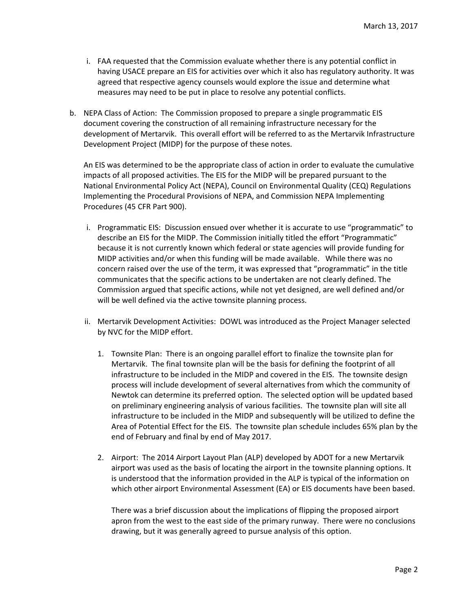- i. FAA requested that the Commission evaluate whether there is any potential conflict in having USACE prepare an EIS for activities over which it also has regulatory authority. It was agreed that respective agency counsels would explore the issue and determine what measures may need to be put in place to resolve any potential conflicts.
- b. NEPA Class of Action: The Commission proposed to prepare a single programmatic EIS document covering the construction of all remaining infrastructure necessary for the development of Mertarvik. This overall effort will be referred to as the Mertarvik Infrastructure Development Project (MIDP) for the purpose of these notes.

An EIS was determined to be the appropriate class of action in order to evaluate the cumulative impacts of all proposed activities. The EIS for the MIDP will be prepared pursuant to the National Environmental Policy Act (NEPA), Council on Environmental Quality (CEQ) Regulations Implementing the Procedural Provisions of NEPA, and Commission NEPA Implementing Procedures (45 CFR Part 900).

- i. Programmatic EIS: Discussion ensued over whether it is accurate to use "programmatic" to describe an EIS for the MIDP. The Commission initially titled the effort "Programmatic" because it is not currently known which federal or state agencies will provide funding for MIDP activities and/or when this funding will be made available. While there was no concern raised over the use of the term, it was expressed that "programmatic" in the title communicates that the specific actions to be undertaken are not clearly defined. The Commission argued that specific actions, while not yet designed, are well defined and/or will be well defined via the active townsite planning process.
- ii. Mertarvik Development Activities: DOWL was introduced as the Project Manager selected by NVC for the MIDP effort.
	- 1. Townsite Plan: There is an ongoing parallel effort to finalize the townsite plan for Mertarvik. The final townsite plan will be the basis for defining the footprint of all infrastructure to be included in the MIDP and covered in the EIS. The townsite design process will include development of several alternatives from which the community of Newtok can determine its preferred option. The selected option will be updated based on preliminary engineering analysis of various facilities. The townsite plan will site all infrastructure to be included in the MIDP and subsequently will be utilized to define the Area of Potential Effect for the EIS. The townsite plan schedule includes 65% plan by the end of February and final by end of May 2017.
	- 2. Airport: The 2014 Airport Layout Plan (ALP) developed by ADOT for a new Mertarvik airport was used as the basis of locating the airport in the townsite planning options. It is understood that the information provided in the ALP is typical of the information on which other airport Environmental Assessment (EA) or EIS documents have been based.

There was a brief discussion about the implications of flipping the proposed airport apron from the west to the east side of the primary runway. There were no conclusions drawing, but it was generally agreed to pursue analysis of this option.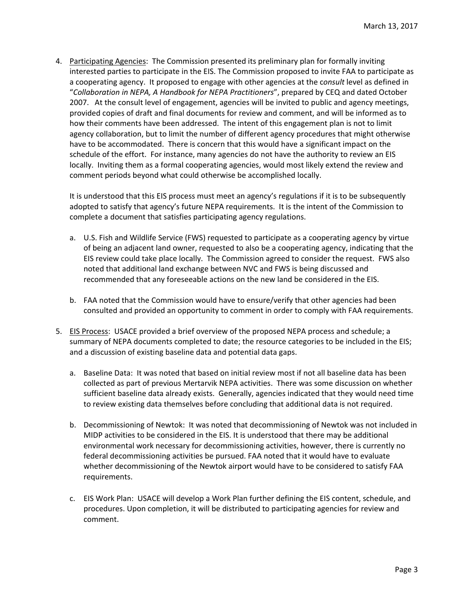4. Participating Agencies: The Commission presented its preliminary plan for formally inviting interested parties to participate in the EIS. The Commission proposed to invite FAA to participate as a cooperating agency. It proposed to engage with other agencies at the c*onsult* level as defined in "*Collaboration in NEPA, A Handbook for NEPA Practitioners*", prepared by CEQ and dated October 2007. At the consult level of engagement, agencies will be invited to public and agency meetings, provided copies of draft and final documents for review and comment, and will be informed as to how their comments have been addressed. The intent of this engagement plan is not to limit agency collaboration, but to limit the number of different agency procedures that might otherwise have to be accommodated. There is concern that this would have a significant impact on the schedule of the effort. For instance, many agencies do not have the authority to review an EIS locally. Inviting them as a formal cooperating agencies, would most likely extend the review and comment periods beyond what could otherwise be accomplished locally.

It is understood that this EIS process must meet an agency's regulations if it is to be subsequently adopted to satisfy that agency's future NEPA requirements. It is the intent of the Commission to complete a document that satisfies participating agency regulations.

- a. U.S. Fish and Wildlife Service (FWS) requested to participate as a cooperating agency by virtue of being an adjacent land owner, requested to also be a cooperating agency, indicating that the EIS review could take place locally. The Commission agreed to consider the request. FWS also noted that additional land exchange between NVC and FWS is being discussed and recommended that any foreseeable actions on the new land be considered in the EIS.
- b. FAA noted that the Commission would have to ensure/verify that other agencies had been consulted and provided an opportunity to comment in order to comply with FAA requirements.
- 5. EIS Process: USACE provided a brief overview of the proposed NEPA process and schedule; a summary of NEPA documents completed to date; the resource categories to be included in the EIS; and a discussion of existing baseline data and potential data gaps.
	- a. Baseline Data: It was noted that based on initial review most if not all baseline data has been collected as part of previous Mertarvik NEPA activities. There was some discussion on whether sufficient baseline data already exists. Generally, agencies indicated that they would need time to review existing data themselves before concluding that additional data is not required.
	- b. Decommissioning of Newtok: It was noted that decommissioning of Newtok was not included in MIDP activities to be considered in the EIS. It is understood that there may be additional environmental work necessary for decommissioning activities, however, there is currently no federal decommissioning activities be pursued. FAA noted that it would have to evaluate whether decommissioning of the Newtok airport would have to be considered to satisfy FAA requirements.
	- c. EIS Work Plan: USACE will develop a Work Plan further defining the EIS content, schedule, and procedures. Upon completion, it will be distributed to participating agencies for review and comment.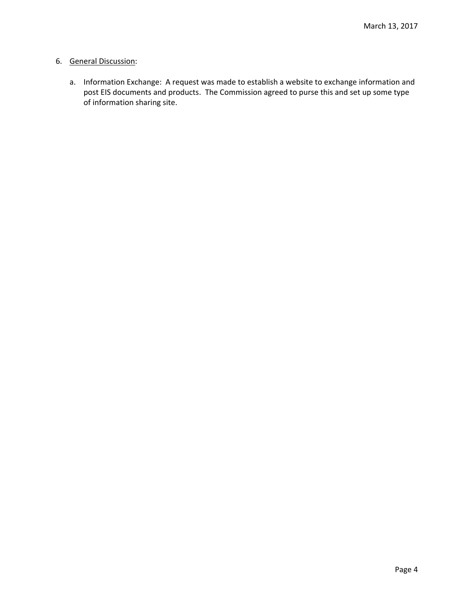### 6. General Discussion:

a. Information Exchange: A request was made to establish a website to exchange information and post EIS documents and products. The Commission agreed to purse this and set up some type of information sharing site.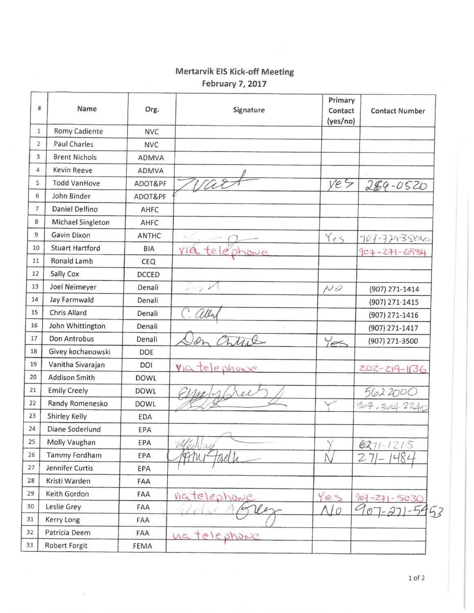# **Mertarvik EIS Kick-off Meeting** February 7, 2017

| #              | Name                   | Org.         | Signature                    | Primary<br>Contact<br>(yes/no) | <b>Contact Number</b> |
|----------------|------------------------|--------------|------------------------------|--------------------------------|-----------------------|
| 1              | <b>Romy Cadiente</b>   | <b>NVC</b>   |                              |                                |                       |
| $\overline{2}$ | <b>Paul Charles</b>    | <b>NVC</b>   |                              |                                |                       |
| 3              | <b>Brent Nichols</b>   | ADMVA        |                              |                                |                       |
| 4              | <b>Kevin Reeve</b>     | ADMVA        |                              |                                |                       |
| 5              | <b>Todd VanHove</b>    | ADOT&PF      | Var                          | ye5                            | $289 - 0520$          |
| 6              | John Binder            | ADOT&PF      |                              |                                |                       |
| $\overline{7}$ | Daniel Delfino         | AHFC         |                              |                                |                       |
| 8              | Michael Singleton      | AHFC         |                              |                                |                       |
| 9              | Gavin Dixon            | <b>ANTHC</b> |                              | Yes.                           | 907-779-3586          |
| 10             | <b>Stuart Hartford</b> | <b>BIA</b>   | via                          |                                | 907-271-6984          |
| 11             | <b>Ronald Lamb</b>     | CEQ          |                              |                                |                       |
| 12             | Sally Cox              | <b>DCCED</b> |                              |                                |                       |
| 13             | Joel Neimeyer          | Denali       | $\rightarrow$ $\gamma$ $\nu$ | $N\mathcal{D}$                 | (907) 271-1414        |
| 14             | Jay Farmwald           | Denali       |                              |                                | (907) 271-1415        |
| 15             | <b>Chris Allard</b>    | Denali       | alla                         |                                | (907) 271-1416        |
| 16             | John Whittington       | Denali       |                              |                                | (907) 271-1417        |
| 17             | Don Antrobus           | Denali       | hte                          | Yes                            | (907) 271-3500        |
| 18             | Givey kochanowski      | <b>DOE</b>   |                              |                                |                       |
| 19             | Vanitha Sivarajan      | DOI          | Viatelephonie                |                                | 202-219-1136          |
| 20             | <b>Addison Smith</b>   | <b>DOWL</b>  |                              |                                |                       |
| 21             | <b>Emily Creely</b>    | <b>DOWL</b>  |                              |                                | 5622000               |
| 22             | Randy Romenesko        | <b>DOWL</b>  |                              |                                | 907,304.224           |
| 23             | Shirley Kelly          | <b>EDA</b>   |                              |                                |                       |
| 24             | Diane Soderlund        | EPA          |                              |                                |                       |
| 25             | Molly Vaughan          | EPA          | (1/ 1 )                      |                                | $6271 -$<br>215       |
| 26             | <b>Tammy Fordham</b>   | EPA          | Any-<br>taelle               | Λ                              | $271 -$               |
| 27             | Jennifer Curtis        | EPA          |                              |                                |                       |
| 28             | Kristi Warden          | FAA          |                              |                                |                       |
| 29             | Keith Gordon           | FAA          | Viatelephone                 | Yes                            | $907 - 271 - 5030$    |
| 30             | Leslie Grey            | FAA          |                              | $\bigcap$                      | 53                    |
| 31             | Kerry Long             | FAA          |                              |                                |                       |
| 32             | Patricia Deem          | FAA          | nateles                      |                                |                       |
| 33             | Robert Forgit          | FEMA         |                              |                                |                       |